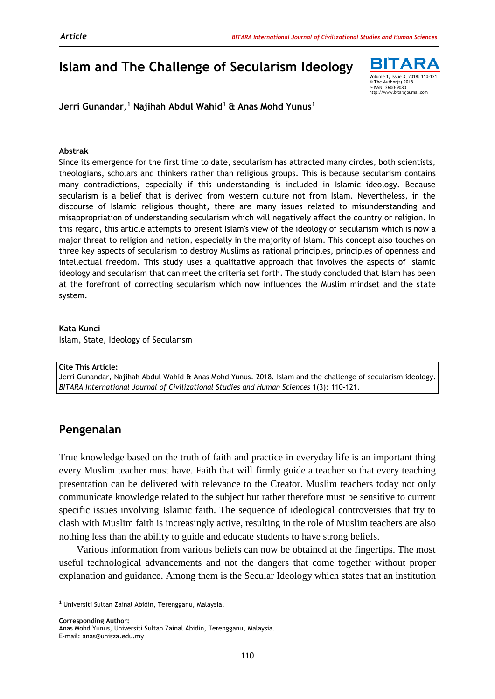# **Islam and The Challenge of Secularism Ideology**



**Jerri Gunandar, <sup>1</sup> Najihah Abdul Wahid<sup>1</sup> & Anas Mohd Yunus<sup>1</sup>**

#### **Abstrak**

Since its emergence for the first time to date, secularism has attracted many circles, both scientists, theologians, scholars and thinkers rather than religious groups. This is because secularism contains many contradictions, especially if this understanding is included in Islamic ideology. Because secularism is a belief that is derived from western culture not from Islam. Nevertheless, in the discourse of Islamic religious thought, there are many issues related to misunderstanding and misappropriation of understanding secularism which will negatively affect the country or religion. In this regard, this article attempts to present Islam's view of the ideology of secularism which is now a major threat to religion and nation, especially in the majority of Islam. This concept also touches on three key aspects of secularism to destroy Muslims as rational principles, principles of openness and intellectual freedom. This study uses a qualitative approach that involves the aspects of Islamic ideology and secularism that can meet the criteria set forth. The study concluded that Islam has been at the forefront of correcting secularism which now influences the Muslim mindset and the state system.

Volume 1, Issue 3, 2018

#### **Kata Kunci**

Islam, State, Ideology of Secularism

#### **Cite This Article:**

Jerri Gunandar, Najihah Abdul Wahid & Anas Mohd Yunus. 2018. Islam and the challenge of secularism ideology*. BITARA International Journal of Civilizational Studies and Human Sciences* 1(3): 110-121.

## **Pengenalan**

True knowledge based on the truth of faith and practice in everyday life is an important thing every Muslim teacher must have. Faith that will firmly guide a teacher so that every teaching presentation can be delivered with relevance to the Creator. Muslim teachers today not only communicate knowledge related to the subject but rather therefore must be sensitive to current specific issues involving Islamic faith. The sequence of ideological controversies that try to clash with Muslim faith is increasingly active, resulting in the role of Muslim teachers are also nothing less than the ability to guide and educate students to have strong beliefs.

Various information from various beliefs can now be obtained at the fingertips. The most useful technological advancements and not the dangers that come together without proper explanation and guidance. Among them is the Secular Ideology which states that an institution

**Corresponding Author:**

 $\overline{\phantom{a}}$ 

 $1$  Universiti Sultan Zainal Abidin, Terengganu, Malaysia.

Anas Mohd Yunus, Universiti Sultan Zainal Abidin, Terengganu, Malaysia. E-mail: anas@unisza.edu.my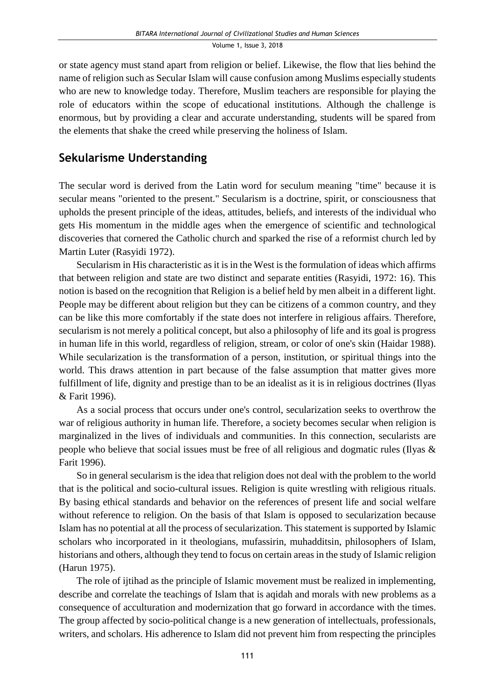or state agency must stand apart from religion or belief. Likewise, the flow that lies behind the name of religion such as Secular Islam will cause confusion among Muslims especially students who are new to knowledge today. Therefore, Muslim teachers are responsible for playing the role of educators within the scope of educational institutions. Although the challenge is enormous, but by providing a clear and accurate understanding, students will be spared from the elements that shake the creed while preserving the holiness of Islam.

# **Sekularisme Understanding**

The secular word is derived from the Latin word for seculum meaning "time" because it is secular means "oriented to the present." Secularism is a doctrine, spirit, or consciousness that upholds the present principle of the ideas, attitudes, beliefs, and interests of the individual who gets His momentum in the middle ages when the emergence of scientific and technological discoveries that cornered the Catholic church and sparked the rise of a reformist church led by Martin Luter (Rasyidi 1972).

Secularism in His characteristic as it isin the West is the formulation of ideas which affirms that between religion and state are two distinct and separate entities (Rasyidi, 1972: 16). This notion is based on the recognition that Religion is a belief held by men albeit in a different light. People may be different about religion but they can be citizens of a common country, and they can be like this more comfortably if the state does not interfere in religious affairs. Therefore, secularism is not merely a political concept, but also a philosophy of life and its goal is progress in human life in this world, regardless of religion, stream, or color of one's skin (Haidar 1988). While secularization is the transformation of a person, institution, or spiritual things into the world. This draws attention in part because of the false assumption that matter gives more fulfillment of life, dignity and prestige than to be an idealist as it is in religious doctrines (Ilyas & Farit 1996).

As a social process that occurs under one's control, secularization seeks to overthrow the war of religious authority in human life. Therefore, a society becomes secular when religion is marginalized in the lives of individuals and communities. In this connection, secularists are people who believe that social issues must be free of all religious and dogmatic rules (Ilyas & Farit 1996).

So in general secularism is the idea that religion does not deal with the problem to the world that is the political and socio-cultural issues. Religion is quite wrestling with religious rituals. By basing ethical standards and behavior on the references of present life and social welfare without reference to religion. On the basis of that Islam is opposed to secularization because Islam has no potential at all the process of secularization. This statement is supported by Islamic scholars who incorporated in it theologians, mufassirin, muhadditsin, philosophers of Islam, historians and others, although they tend to focus on certain areas in the study of Islamic religion (Harun 1975).

The role of ijtihad as the principle of Islamic movement must be realized in implementing, describe and correlate the teachings of Islam that is aqidah and morals with new problems as a consequence of acculturation and modernization that go forward in accordance with the times. The group affected by socio-political change is a new generation of intellectuals, professionals, writers, and scholars. His adherence to Islam did not prevent him from respecting the principles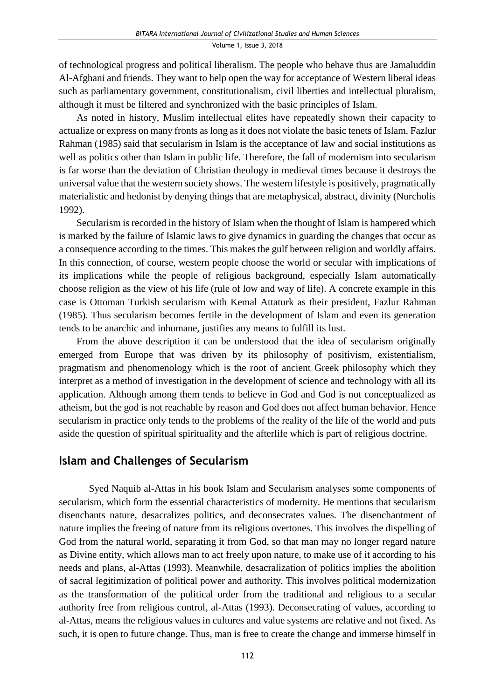of technological progress and political liberalism. The people who behave thus are Jamaluddin Al-Afghani and friends. They want to help open the way for acceptance of Western liberal ideas such as parliamentary government, constitutionalism, civil liberties and intellectual pluralism, although it must be filtered and synchronized with the basic principles of Islam.

As noted in history, Muslim intellectual elites have repeatedly shown their capacity to actualize or express on many fronts as long as it does not violate the basic tenets of Islam. Fazlur Rahman (1985) said that secularism in Islam is the acceptance of law and social institutions as well as politics other than Islam in public life. Therefore, the fall of modernism into secularism is far worse than the deviation of Christian theology in medieval times because it destroys the universal value that the western society shows. The western lifestyle is positively, pragmatically materialistic and hedonist by denying things that are metaphysical, abstract, divinity (Nurcholis 1992).

Secularism is recorded in the history of Islam when the thought of Islam is hampered which is marked by the failure of Islamic laws to give dynamics in guarding the changes that occur as a consequence according to the times. This makes the gulf between religion and worldly affairs. In this connection, of course, western people choose the world or secular with implications of its implications while the people of religious background, especially Islam automatically choose religion as the view of his life (rule of low and way of life). A concrete example in this case is Ottoman Turkish secularism with Kemal Attaturk as their president, Fazlur Rahman (1985). Thus secularism becomes fertile in the development of Islam and even its generation tends to be anarchic and inhumane, justifies any means to fulfill its lust.

From the above description it can be understood that the idea of secularism originally emerged from Europe that was driven by its philosophy of positivism, existentialism, pragmatism and phenomenology which is the root of ancient Greek philosophy which they interpret as a method of investigation in the development of science and technology with all its application. Although among them tends to believe in God and God is not conceptualized as atheism, but the god is not reachable by reason and God does not affect human behavior. Hence secularism in practice only tends to the problems of the reality of the life of the world and puts aside the question of spiritual spirituality and the afterlife which is part of religious doctrine.

## **Islam and Challenges of Secularism**

Syed Naquib al-Attas in his book Islam and Secularism analyses some components of secularism, which form the essential characteristics of modernity. He mentions that secularism disenchants nature, desacralizes politics, and deconsecrates values. The disenchantment of nature implies the freeing of nature from its religious overtones. This involves the dispelling of God from the natural world, separating it from God, so that man may no longer regard nature as Divine entity, which allows man to act freely upon nature, to make use of it according to his needs and plans, al-Attas (1993). Meanwhile, desacralization of politics implies the abolition of sacral legitimization of political power and authority. This involves political modernization as the transformation of the political order from the traditional and religious to a secular authority free from religious control, al-Attas (1993). Deconsecrating of values, according to al-Attas, means the religious values in cultures and value systems are relative and not fixed. As such, it is open to future change. Thus, man is free to create the change and immerse himself in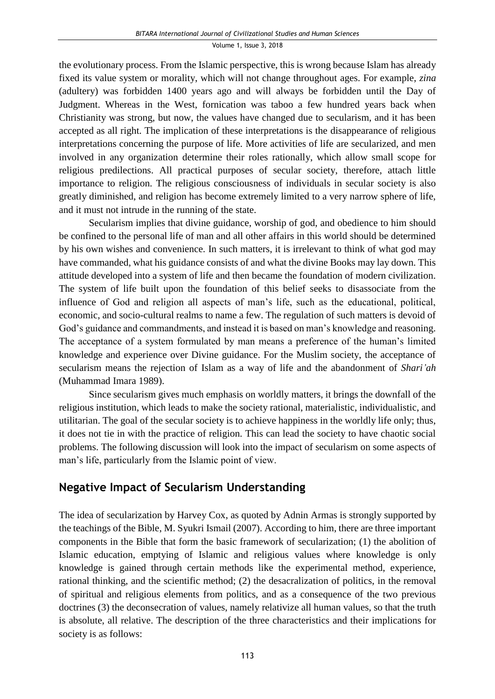the evolutionary process. From the Islamic perspective, this is wrong because Islam has already fixed its value system or morality, which will not change throughout ages. For example, *zina*  (adultery) was forbidden 1400 years ago and will always be forbidden until the Day of Judgment. Whereas in the West, fornication was taboo a few hundred years back when Christianity was strong, but now, the values have changed due to secularism, and it has been accepted as all right. The implication of these interpretations is the disappearance of religious interpretations concerning the purpose of life. More activities of life are secularized, and men involved in any organization determine their roles rationally, which allow small scope for religious predilections. All practical purposes of secular society, therefore, attach little importance to religion. The religious consciousness of individuals in secular society is also greatly diminished, and religion has become extremely limited to a very narrow sphere of life, and it must not intrude in the running of the state.

Secularism implies that divine guidance, worship of god, and obedience to him should be confined to the personal life of man and all other affairs in this world should be determined by his own wishes and convenience. In such matters, it is irrelevant to think of what god may have commanded, what his guidance consists of and what the divine Books may lay down. This attitude developed into a system of life and then became the foundation of modern civilization. The system of life built upon the foundation of this belief seeks to disassociate from the influence of God and religion all aspects of man's life, such as the educational, political, economic, and socio-cultural realms to name a few. The regulation of such matters is devoid of God's guidance and commandments, and instead it is based on man's knowledge and reasoning. The acceptance of a system formulated by man means a preference of the human's limited knowledge and experience over Divine guidance. For the Muslim society, the acceptance of secularism means the rejection of Islam as a way of life and the abandonment of *Shari'ah*  (Muhammad Imara 1989).

Since secularism gives much emphasis on worldly matters, it brings the downfall of the religious institution, which leads to make the society rational, materialistic, individualistic, and utilitarian. The goal of the secular society is to achieve happiness in the worldly life only; thus, it does not tie in with the practice of religion. This can lead the society to have chaotic social problems. The following discussion will look into the impact of secularism on some aspects of man's life, particularly from the Islamic point of view.

## **Negative Impact of Secularism Understanding**

The idea of secularization by Harvey Cox, as quoted by Adnin Armas is strongly supported by the teachings of the Bible, M. Syukri Ismail (2007). According to him, there are three important components in the Bible that form the basic framework of secularization; (1) the abolition of Islamic education, emptying of Islamic and religious values where knowledge is only knowledge is gained through certain methods like the experimental method, experience, rational thinking, and the scientific method; (2) the desacralization of politics, in the removal of spiritual and religious elements from politics, and as a consequence of the two previous doctrines (3) the deconsecration of values, namely relativize all human values, so that the truth is absolute, all relative. The description of the three characteristics and their implications for society is as follows: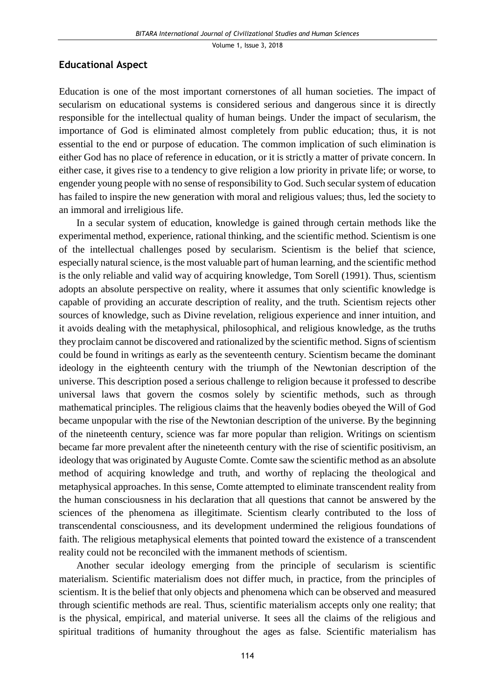### **Educational Aspect**

Education is one of the most important cornerstones of all human societies. The impact of secularism on educational systems is considered serious and dangerous since it is directly responsible for the intellectual quality of human beings. Under the impact of secularism, the importance of God is eliminated almost completely from public education; thus, it is not essential to the end or purpose of education. The common implication of such elimination is either God has no place of reference in education, or it is strictly a matter of private concern. In either case, it gives rise to a tendency to give religion a low priority in private life; or worse, to engender young people with no sense of responsibility to God. Such secular system of education has failed to inspire the new generation with moral and religious values; thus, led the society to an immoral and irreligious life.

In a secular system of education, knowledge is gained through certain methods like the experimental method, experience, rational thinking, and the scientific method. Scientism is one of the intellectual challenges posed by secularism. Scientism is the belief that science, especially natural science, is the most valuable part of human learning, and the scientific method is the only reliable and valid way of acquiring knowledge, Tom Sorell (1991). Thus, scientism adopts an absolute perspective on reality, where it assumes that only scientific knowledge is capable of providing an accurate description of reality, and the truth. Scientism rejects other sources of knowledge, such as Divine revelation, religious experience and inner intuition, and it avoids dealing with the metaphysical, philosophical, and religious knowledge, as the truths they proclaim cannot be discovered and rationalized by the scientific method. Signs of scientism could be found in writings as early as the seventeenth century. Scientism became the dominant ideology in the eighteenth century with the triumph of the Newtonian description of the universe. This description posed a serious challenge to religion because it professed to describe universal laws that govern the cosmos solely by scientific methods, such as through mathematical principles. The religious claims that the heavenly bodies obeyed the Will of God became unpopular with the rise of the Newtonian description of the universe. By the beginning of the nineteenth century, science was far more popular than religion. Writings on scientism became far more prevalent after the nineteenth century with the rise of scientific positivism, an ideology that was originated by Auguste Comte. Comte saw the scientific method as an absolute method of acquiring knowledge and truth, and worthy of replacing the theological and metaphysical approaches. In this sense, Comte attempted to eliminate transcendent reality from the human consciousness in his declaration that all questions that cannot be answered by the sciences of the phenomena as illegitimate. Scientism clearly contributed to the loss of transcendental consciousness, and its development undermined the religious foundations of faith. The religious metaphysical elements that pointed toward the existence of a transcendent reality could not be reconciled with the immanent methods of scientism.

Another secular ideology emerging from the principle of secularism is scientific materialism. Scientific materialism does not differ much, in practice, from the principles of scientism. It is the belief that only objects and phenomena which can be observed and measured through scientific methods are real. Thus, scientific materialism accepts only one reality; that is the physical, empirical, and material universe. It sees all the claims of the religious and spiritual traditions of humanity throughout the ages as false. Scientific materialism has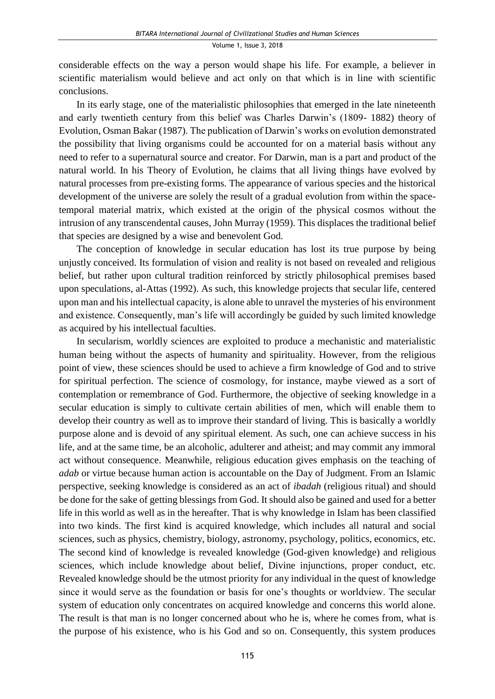considerable effects on the way a person would shape his life. For example, a believer in scientific materialism would believe and act only on that which is in line with scientific conclusions.

In its early stage, one of the materialistic philosophies that emerged in the late nineteenth and early twentieth century from this belief was Charles Darwin's (1809- 1882) theory of Evolution, Osman Bakar (1987). The publication of Darwin's works on evolution demonstrated the possibility that living organisms could be accounted for on a material basis without any need to refer to a supernatural source and creator. For Darwin, man is a part and product of the natural world. In his Theory of Evolution, he claims that all living things have evolved by natural processes from pre-existing forms. The appearance of various species and the historical development of the universe are solely the result of a gradual evolution from within the spacetemporal material matrix, which existed at the origin of the physical cosmos without the intrusion of any transcendental causes, John Murray (1959). This displaces the traditional belief that species are designed by a wise and benevolent God.

The conception of knowledge in secular education has lost its true purpose by being unjustly conceived. Its formulation of vision and reality is not based on revealed and religious belief, but rather upon cultural tradition reinforced by strictly philosophical premises based upon speculations, al-Attas (1992). As such, this knowledge projects that secular life, centered upon man and his intellectual capacity, is alone able to unravel the mysteries of his environment and existence. Consequently, man's life will accordingly be guided by such limited knowledge as acquired by his intellectual faculties.

In secularism, worldly sciences are exploited to produce a mechanistic and materialistic human being without the aspects of humanity and spirituality. However, from the religious point of view, these sciences should be used to achieve a firm knowledge of God and to strive for spiritual perfection. The science of cosmology, for instance, maybe viewed as a sort of contemplation or remembrance of God. Furthermore, the objective of seeking knowledge in a secular education is simply to cultivate certain abilities of men, which will enable them to develop their country as well as to improve their standard of living. This is basically a worldly purpose alone and is devoid of any spiritual element. As such, one can achieve success in his life, and at the same time, be an alcoholic, adulterer and atheist; and may commit any immoral act without consequence. Meanwhile, religious education gives emphasis on the teaching of *adab* or virtue because human action is accountable on the Day of Judgment. From an Islamic perspective, seeking knowledge is considered as an act of *ibadah* (religious ritual) and should be done for the sake of getting blessings from God. It should also be gained and used for a better life in this world as well as in the hereafter. That is why knowledge in Islam has been classified into two kinds. The first kind is acquired knowledge, which includes all natural and social sciences, such as physics, chemistry, biology, astronomy, psychology, politics, economics, etc. The second kind of knowledge is revealed knowledge (God-given knowledge) and religious sciences, which include knowledge about belief, Divine injunctions, proper conduct, etc. Revealed knowledge should be the utmost priority for any individual in the quest of knowledge since it would serve as the foundation or basis for one's thoughts or worldview. The secular system of education only concentrates on acquired knowledge and concerns this world alone. The result is that man is no longer concerned about who he is, where he comes from, what is the purpose of his existence, who is his God and so on. Consequently, this system produces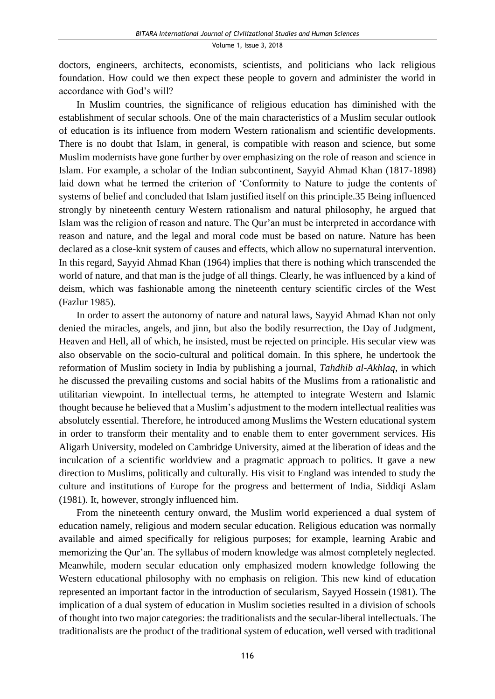doctors, engineers, architects, economists, scientists, and politicians who lack religious foundation. How could we then expect these people to govern and administer the world in accordance with God's will?

In Muslim countries, the significance of religious education has diminished with the establishment of secular schools. One of the main characteristics of a Muslim secular outlook of education is its influence from modern Western rationalism and scientific developments. There is no doubt that Islam, in general, is compatible with reason and science, but some Muslim modernists have gone further by over emphasizing on the role of reason and science in Islam. For example, a scholar of the Indian subcontinent, Sayyid Ahmad Khan (1817-1898) laid down what he termed the criterion of 'Conformity to Nature to judge the contents of systems of belief and concluded that Islam justified itself on this principle.35 Being influenced strongly by nineteenth century Western rationalism and natural philosophy, he argued that Islam was the religion of reason and nature. The Qur'an must be interpreted in accordance with reason and nature, and the legal and moral code must be based on nature. Nature has been declared as a close-knit system of causes and effects, which allow no supernatural intervention. In this regard, Sayyid Ahmad Khan (1964) implies that there is nothing which transcended the world of nature, and that man is the judge of all things. Clearly, he was influenced by a kind of deism, which was fashionable among the nineteenth century scientific circles of the West (Fazlur 1985).

In order to assert the autonomy of nature and natural laws, Sayyid Ahmad Khan not only denied the miracles, angels, and jinn, but also the bodily resurrection, the Day of Judgment, Heaven and Hell, all of which, he insisted, must be rejected on principle. His secular view was also observable on the socio-cultural and political domain. In this sphere, he undertook the reformation of Muslim society in India by publishing a journal, *Tahdhib al-Akhlaq*, in which he discussed the prevailing customs and social habits of the Muslims from a rationalistic and utilitarian viewpoint. In intellectual terms, he attempted to integrate Western and Islamic thought because he believed that a Muslim's adjustment to the modern intellectual realities was absolutely essential. Therefore, he introduced among Muslims the Western educational system in order to transform their mentality and to enable them to enter government services. His Aligarh University, modeled on Cambridge University, aimed at the liberation of ideas and the inculcation of a scientific worldview and a pragmatic approach to politics. It gave a new direction to Muslims, politically and culturally. His visit to England was intended to study the culture and institutions of Europe for the progress and betterment of India, Siddiqi Aslam (1981). It, however, strongly influenced him.

From the nineteenth century onward, the Muslim world experienced a dual system of education namely, religious and modern secular education. Religious education was normally available and aimed specifically for religious purposes; for example, learning Arabic and memorizing the Qur'an. The syllabus of modern knowledge was almost completely neglected. Meanwhile, modern secular education only emphasized modern knowledge following the Western educational philosophy with no emphasis on religion. This new kind of education represented an important factor in the introduction of secularism, Sayyed Hossein (1981). The implication of a dual system of education in Muslim societies resulted in a division of schools of thought into two major categories: the traditionalists and the secular-liberal intellectuals. The traditionalists are the product of the traditional system of education, well versed with traditional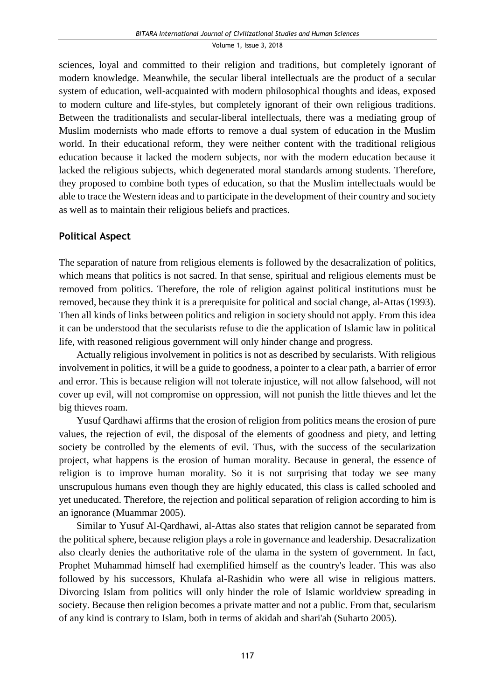sciences, loyal and committed to their religion and traditions, but completely ignorant of modern knowledge. Meanwhile, the secular liberal intellectuals are the product of a secular system of education, well-acquainted with modern philosophical thoughts and ideas, exposed to modern culture and life-styles, but completely ignorant of their own religious traditions. Between the traditionalists and secular-liberal intellectuals, there was a mediating group of Muslim modernists who made efforts to remove a dual system of education in the Muslim world. In their educational reform, they were neither content with the traditional religious education because it lacked the modern subjects, nor with the modern education because it lacked the religious subjects, which degenerated moral standards among students. Therefore, they proposed to combine both types of education, so that the Muslim intellectuals would be able to trace the Western ideas and to participate in the development of their country and society as well as to maintain their religious beliefs and practices.

## **Political Aspect**

The separation of nature from religious elements is followed by the desacralization of politics, which means that politics is not sacred. In that sense, spiritual and religious elements must be removed from politics. Therefore, the role of religion against political institutions must be removed, because they think it is a prerequisite for political and social change, al-Attas (1993). Then all kinds of links between politics and religion in society should not apply. From this idea it can be understood that the secularists refuse to die the application of Islamic law in political life, with reasoned religious government will only hinder change and progress.

Actually religious involvement in politics is not as described by secularists. With religious involvement in politics, it will be a guide to goodness, a pointer to a clear path, a barrier of error and error. This is because religion will not tolerate injustice, will not allow falsehood, will not cover up evil, will not compromise on oppression, will not punish the little thieves and let the big thieves roam.

Yusuf Qardhawi affirms that the erosion of religion from politics means the erosion of pure values, the rejection of evil, the disposal of the elements of goodness and piety, and letting society be controlled by the elements of evil. Thus, with the success of the secularization project, what happens is the erosion of human morality. Because in general, the essence of religion is to improve human morality. So it is not surprising that today we see many unscrupulous humans even though they are highly educated, this class is called schooled and yet uneducated. Therefore, the rejection and political separation of religion according to him is an ignorance (Muammar 2005).

Similar to Yusuf Al-Qardhawi, al-Attas also states that religion cannot be separated from the political sphere, because religion plays a role in governance and leadership. Desacralization also clearly denies the authoritative role of the ulama in the system of government. In fact, Prophet Muhammad himself had exemplified himself as the country's leader. This was also followed by his successors, Khulafa al-Rashidin who were all wise in religious matters. Divorcing Islam from politics will only hinder the role of Islamic worldview spreading in society. Because then religion becomes a private matter and not a public. From that, secularism of any kind is contrary to Islam, both in terms of akidah and shari'ah (Suharto 2005).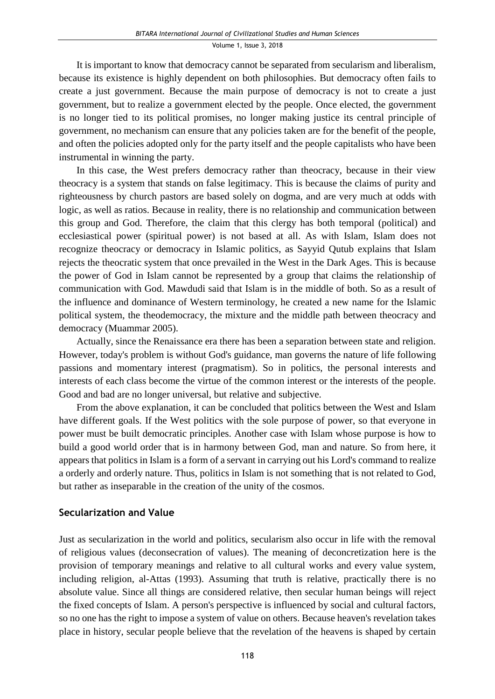It is important to know that democracy cannot be separated from secularism and liberalism, because its existence is highly dependent on both philosophies. But democracy often fails to create a just government. Because the main purpose of democracy is not to create a just government, but to realize a government elected by the people. Once elected, the government is no longer tied to its political promises, no longer making justice its central principle of government, no mechanism can ensure that any policies taken are for the benefit of the people, and often the policies adopted only for the party itself and the people capitalists who have been instrumental in winning the party.

In this case, the West prefers democracy rather than theocracy, because in their view theocracy is a system that stands on false legitimacy. This is because the claims of purity and righteousness by church pastors are based solely on dogma, and are very much at odds with logic, as well as ratios. Because in reality, there is no relationship and communication between this group and God. Therefore, the claim that this clergy has both temporal (political) and ecclesiastical power (spiritual power) is not based at all. As with Islam, Islam does not recognize theocracy or democracy in Islamic politics, as Sayyid Qutub explains that Islam rejects the theocratic system that once prevailed in the West in the Dark Ages. This is because the power of God in Islam cannot be represented by a group that claims the relationship of communication with God. Mawdudi said that Islam is in the middle of both. So as a result of the influence and dominance of Western terminology, he created a new name for the Islamic political system, the theodemocracy, the mixture and the middle path between theocracy and democracy (Muammar 2005).

Actually, since the Renaissance era there has been a separation between state and religion. However, today's problem is without God's guidance, man governs the nature of life following passions and momentary interest (pragmatism). So in politics, the personal interests and interests of each class become the virtue of the common interest or the interests of the people. Good and bad are no longer universal, but relative and subjective.

From the above explanation, it can be concluded that politics between the West and Islam have different goals. If the West politics with the sole purpose of power, so that everyone in power must be built democratic principles. Another case with Islam whose purpose is how to build a good world order that is in harmony between God, man and nature. So from here, it appears that politics in Islam is a form of a servant in carrying out his Lord's command to realize a orderly and orderly nature. Thus, politics in Islam is not something that is not related to God, but rather as inseparable in the creation of the unity of the cosmos.

## **Secularization and Value**

Just as secularization in the world and politics, secularism also occur in life with the removal of religious values (deconsecration of values). The meaning of deconcretization here is the provision of temporary meanings and relative to all cultural works and every value system, including religion, al-Attas (1993). Assuming that truth is relative, practically there is no absolute value. Since all things are considered relative, then secular human beings will reject the fixed concepts of Islam. A person's perspective is influenced by social and cultural factors, so no one has the right to impose a system of value on others. Because heaven's revelation takes place in history, secular people believe that the revelation of the heavens is shaped by certain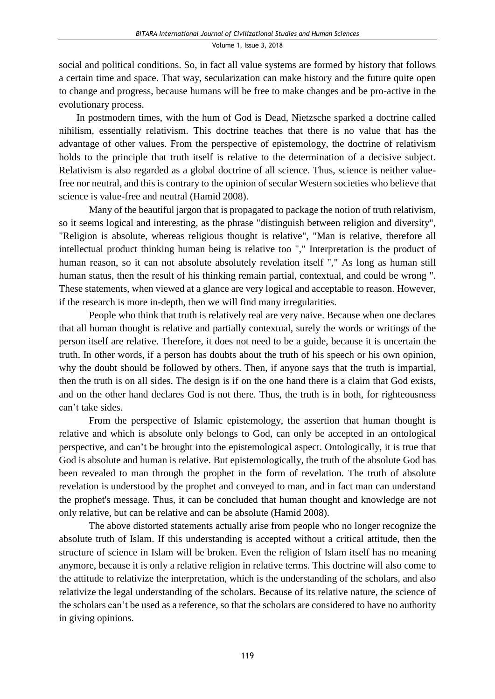social and political conditions. So, in fact all value systems are formed by history that follows a certain time and space. That way, secularization can make history and the future quite open to change and progress, because humans will be free to make changes and be pro-active in the evolutionary process.

In postmodern times, with the hum of God is Dead, Nietzsche sparked a doctrine called nihilism, essentially relativism. This doctrine teaches that there is no value that has the advantage of other values. From the perspective of epistemology, the doctrine of relativism holds to the principle that truth itself is relative to the determination of a decisive subject. Relativism is also regarded as a global doctrine of all science. Thus, science is neither valuefree nor neutral, and this is contrary to the opinion of secular Western societies who believe that science is value-free and neutral (Hamid 2008).

Many of the beautiful jargon that is propagated to package the notion of truth relativism, so it seems logical and interesting, as the phrase "distinguish between religion and diversity", "Religion is absolute, whereas religious thought is relative", "Man is relative, therefore all intellectual product thinking human being is relative too "," Interpretation is the product of human reason, so it can not absolute absolutely revelation itself "," As long as human still human status, then the result of his thinking remain partial, contextual, and could be wrong ". These statements, when viewed at a glance are very logical and acceptable to reason. However, if the research is more in-depth, then we will find many irregularities.

People who think that truth is relatively real are very naive. Because when one declares that all human thought is relative and partially contextual, surely the words or writings of the person itself are relative. Therefore, it does not need to be a guide, because it is uncertain the truth. In other words, if a person has doubts about the truth of his speech or his own opinion, why the doubt should be followed by others. Then, if anyone says that the truth is impartial, then the truth is on all sides. The design is if on the one hand there is a claim that God exists, and on the other hand declares God is not there. Thus, the truth is in both, for righteousness can't take sides.

From the perspective of Islamic epistemology, the assertion that human thought is relative and which is absolute only belongs to God, can only be accepted in an ontological perspective, and can't be brought into the epistemological aspect. Ontologically, it is true that God is absolute and human is relative. But epistemologically, the truth of the absolute God has been revealed to man through the prophet in the form of revelation. The truth of absolute revelation is understood by the prophet and conveyed to man, and in fact man can understand the prophet's message. Thus, it can be concluded that human thought and knowledge are not only relative, but can be relative and can be absolute (Hamid 2008).

The above distorted statements actually arise from people who no longer recognize the absolute truth of Islam. If this understanding is accepted without a critical attitude, then the structure of science in Islam will be broken. Even the religion of Islam itself has no meaning anymore, because it is only a relative religion in relative terms. This doctrine will also come to the attitude to relativize the interpretation, which is the understanding of the scholars, and also relativize the legal understanding of the scholars. Because of its relative nature, the science of the scholars can't be used as a reference, so that the scholars are considered to have no authority in giving opinions.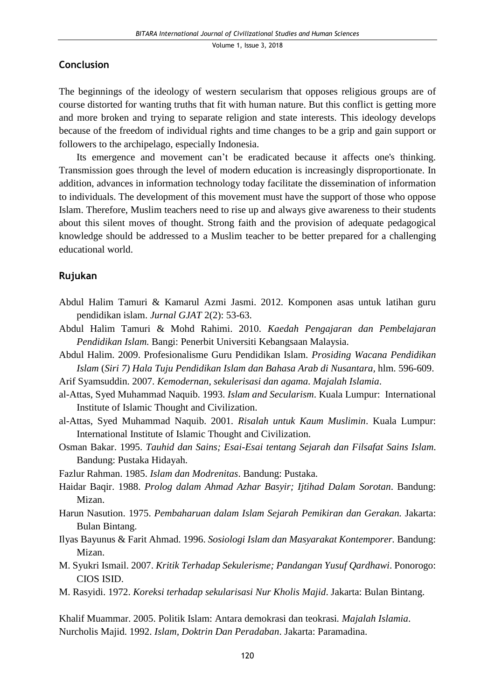### **Conclusion**

The beginnings of the ideology of western secularism that opposes religious groups are of course distorted for wanting truths that fit with human nature. But this conflict is getting more and more broken and trying to separate religion and state interests. This ideology develops because of the freedom of individual rights and time changes to be a grip and gain support or followers to the archipelago, especially Indonesia.

Its emergence and movement can't be eradicated because it affects one's thinking. Transmission goes through the level of modern education is increasingly disproportionate. In addition, advances in information technology today facilitate the dissemination of information to individuals. The development of this movement must have the support of those who oppose Islam. Therefore, Muslim teachers need to rise up and always give awareness to their students about this silent moves of thought. Strong faith and the provision of adequate pedagogical knowledge should be addressed to a Muslim teacher to be better prepared for a challenging educational world.

### **Rujukan**

- Abdul Halim Tamuri & Kamarul Azmi Jasmi. 2012. Komponen asas untuk latihan guru pendidikan islam. *Jurnal GJAT* 2(2): 53-63.
- Abdul Halim Tamuri & Mohd Rahimi. 2010. *Kaedah Pengajaran dan Pembelajaran Pendidikan Islam.* Bangi: Penerbit Universiti Kebangsaan Malaysia.
- Abdul Halim. 2009. Profesionalisme Guru Pendidikan Islam. *Prosiding Wacana Pendidikan Islam* (*Siri 7) Hala Tuju Pendidikan Islam dan Bahasa Arab di Nusantara,* hlm. 596-609.
- Arif Syamsuddin. 2007. *Kemodernan, sekulerisasi dan agama*. *Majalah Islamia*.
- al-Attas, Syed Muhammad Naquib. 1993. *Islam and Secularism*. Kuala Lumpur: International Institute of Islamic Thought and Civilization.
- al-Attas, Syed Muhammad Naquib. 2001. *Risalah untuk Kaum Muslimin*. Kuala Lumpur: International Institute of Islamic Thought and Civilization.
- Osman Bakar. 1995. *Tauhid dan Sains; Esai-Esai tentang Sejarah dan Filsafat Sains Islam*. Bandung: Pustaka Hidayah.
- Fazlur Rahman. 1985. *Islam dan Modrenitas*. Bandung: Pustaka.
- Haidar Baqir. 1988. *Prolog dalam Ahmad Azhar Basyir; Ijtihad Dalam Sorotan*. Bandung: Mizan.
- Harun Nasution. 1975. *Pembaharuan dalam Islam Sejarah Pemikiran dan Gerakan.* Jakarta: Bulan Bintang.
- Ilyas Bayunus & Farit Ahmad. 1996. *Sosiologi Islam dan Masyarakat Kontemporer.* Bandung: Mizan.
- M. Syukri Ismail. 2007. *Kritik Terhadap Sekulerisme; Pandangan Yusuf Qardhawi*. Ponorogo: CIOS ISID.
- M. Rasyidi. 1972. *Koreksi terhadap sekularisasi Nur Kholis Majid*. Jakarta: Bulan Bintang.

Khalif Muammar. 2005. Politik Islam: Antara demokrasi dan teokrasi*. Majalah Islamia*. Nurcholis Majid. 1992. *Islam, Doktrin Dan Peradaban*. Jakarta: Paramadina.